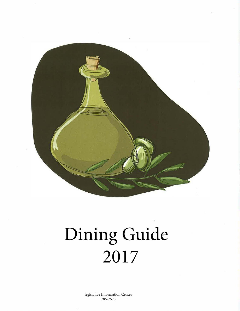

# Dining Guide 2017

legislative Information Center 786-7573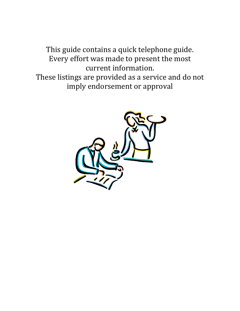This guide contains a quick telephone guide. Every effort was made to present the most current information. These listings are provided as a service and do not imply endorsement or approval

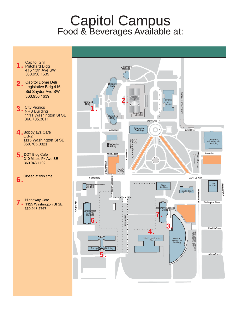# Capitol Campus Food & Beverages Available at:

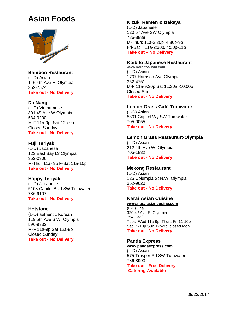# **Asian Foods**



**Bamboo Restaurant** (L-D) Asian 116 4th Ave E. Olympia 352-7574 **Take out - No Delivery**

#### **Da Nang**

(L-D) Vietnamese 301 4th Ave W Olympia 534-9200 M-F 11a-9p, Sat 12p-9p Closed Sundays **Take out - No Delivery**

# **Fuji Teriyaki**

(L-D) Japanese 123 East Bay Dr Olympia 352-0306 M-Thur 11a- 9p F-Sat 11a-10p **Take out - No Delivery**

# **Happy Teriyaki**

(L-D) Japanese 5103 Capitol Blvd SW Tumwater 786-9107 **Take out - No Delivery**

#### **Hotstone**

(L-D) authentic Korean 119 5th Ave S.W. Olympia 596-9332 M-F 11a-9p Sat 12a-9p Closed Sunday **Take out - No Delivery**

# **Kizuki Ramen & Izakaya**

(L-D) Japanese 120 5th Ave SW Olympia 786-8888 M-Thurs 11a-2:30p, 4:30p-9p Fri-Sat 11a-2:30p, 4:30p-11p **Take out – No Delivery**

## **Koibito Japanese Restaurant**

**[www.koibitosushi.com](http://www.koibitosushi.com/)** (L-D) Asian 1707 Harrison Ave Olympia 352-4751 M-F 11a-9:30p Sat 11:30a -10:00p Closed Sun **Take out - No Delivery**

#### **Lemon Grass Café-Tumwater**

(L-D) Asian 5801 Capitol Wy SW Tumwater 705-0055 **Take out - No Delivery**

# **Lemon Grass Restaurant-Olympia**

(L-D) Asian 212 4th Ave W. Olympia 705-1832 **Take out - No Delivery**

# **Mekong Restaurant**

(L-D) Asian 125 Columpia St N.W. Olympia 352-9620 **Take out - No Delivery**

# **Narai Asian Cuisine**

**[www.naraiasiancusine.com](http://www.naraiasiancusine.com/)** (L-D) Thai 320 4<sup>th</sup> Ave E, Olympia 754-1332 Tues- Wed 11a-9p, Thurs-Fri 11-10p Sat 12-10p Sun 12p-9p, closed Mon **Take out - No Delivery**

#### **Panda Express**

**[www.pandaexpress.com](http://www.pandaexpress.com/)** (L-D) Asian 575 Trosper Rd SW Tumwater 786-8993 **Take out - Free Delivery Catering Available**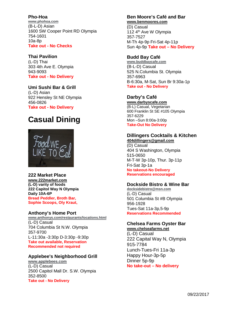## **Pho-Hoa**

**[www.phohoa.com](http://www.phohoa.com/)** (B-L-D) Asian 1600 SW Cooper Point RD Olympia 754-1601 10a-8p **Take out - No Checks** 

## **Thai Pavilion**

(L-D) Thai 303 4th Ave E. Olympia 943-9093 **Take out - No Delivery**

# **Umi Sushi Bar & Grill** (L-D) Asian

922 Hensley St NE Olympia 456-0826 **Take out - No Delivery**

# **Casual Dining**



# **222 Market Place**

**[www.222market.com](http://www.222market.com/) (L-D) varity of foods 222 Capitol Way N Olympia Daily 10A-6P Bread Peddler, Broth Bar, Sophie Scoops, Oly Kraut,** 

# **Anthony's Home Port**

**[www.anthonys.com/restaurants/locations.html](http://www.anthonys.com/restaurants/locations.html)** (L-D) Casual 704 Columbia St N.W. Olympia

357-9700 L-11:30a -3:30p D-3:30p -9:30p **Take out available, Reservation Recommended not required**

# **Applebee's Neighborhood Grill**

**[www.applebees.com](http://www.applebees.com/)** (L-D) Casual 2500 Capitol Mall Dr. S.W. Olympia 352-8500 **Take out - No Delivery**

## **Ben Moore's Café and Bar [www.benmoores.com](http://www.benmoores.com/)**

(D) Casual 112 4<sup>th</sup> Ave W Olympia 357-7527 M-Th 4p-9p Fri-Sat 4p-11p Sun 4p-9p **Take out – No Delivery**

# **Budd Bay Café**

**[www.buddbaycafe.com](http://www.buddbaycafe.com/)** (B-L-D) Casual 525 N.Columbia St. Olympia 357-6963 B-6:30a, M-Sat, Sun Br 9:30a-1p **Take out - No Delivery**

# **Darby's Café**

**[www.darbyscafe.com](http://www.darbyscafe.com/)** (B-L) Casual, Vegetarian 600 Franklin St SE #105 Olympia 357-6229 Mon –Sun 8:00a-3:00p **Take-Out No Delivery**

#### **Dillingers Cocktails & Kitchen [404dillingers@gmail.com](mailto:404dillingers@gmail.com)**

(D) Casual 404 S Washington, Olympia 515-0650 M-T-W 3p-10p, Thur. 3p-11p Fri-Sat 3p-1a **No takeout-No Delivery Reservations encouraged**

# **Dockside Bistro & Wine Bar**

**[docksidebistro@msn.com](mailto:docksidebistro@msn.com)** (L-D) Casual 501 Columbia St #B Olympia 956-1928 Tues-Sat 11a-3p,5-9p **Reservations Recommended**

#### **Chelsea Farms Oyster Bar [www.chelseafarms.net](http://www.chelseafarms.net/)**

(L-D) Casual 222 Capital Way N, Olympia 915-7784 Lunch-Tues-Fri 11a-3p Happy Hour-3p-5p Dinner 5p-9p **No take-out – No delivery**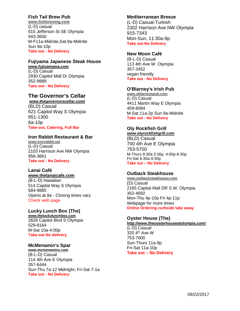# **Fish Tail Brew Pub**

**[www.fishbrewing.com](http://www.fishbrewing.com/)** (L-D) casual 515 Jefferson St SE Olympia 943-3650 M-F11a-Midnite,Sat,9a-Midnite Sun 9a-10p **Take out - No Delivery**

#### **Fujiyama Japanese Steak House [www.fujiyamawa.com](http://www.fujiyamawa.com/)**

(L-D) Casual 2930 Capitol Mall Dr Olympia 352-9888 **Take out - No Delivery**

# **The Governor's Cellar**

**[www.thegovernorscellar.com/](http://www.thegovernorscellar.com/)** (BLD) Casual 621 Capitol Way S Olympia 951-1300 6a-10p **Take-out, Catering, Full Bar**

# **Iron Rabbit Restaurant & Bar**

**[www.ironrabbit.net](http://www.ironrabbit.net/)** (L-D) Casual 2103 Harrison Ave NW Olympia 956-3661 **Take out - No Delivery**

# **Lanai Café**

#### **[www.thelanaicafe.com](http://www.thelanaicafe.com/)**

(B-L-D) Hawaiian 514 Capital Way S Olympia 584-9885 Opens at 8a - Closing times vary Check web page

# **Lucky Lunch Box (The)**

**[www.theluckylunchbox.com](http://www.theluckylunchbox.com/)** 2826 Capitol Blvd S Olympia 529-8164 M-Sat 10a-4:00p **Take-out No delivery**

# **McMenamin's Spar**

**[www.mcmenamins.com](http://www.mcmenamins.com/)** (B-L-D) Casual 114 4th Ave E Olympia 357-6444 Sun-Thu 7a-12 Midnight, Fri-Sat 7-1a **Take out - No Delivery**

# **Mediterranean Breeze**

(L-D) Casual-Turkish 2302 Harrison Ave NW Olympia 915-7343 Mon-Sun, 11:30a-9p **Take out-No Delivery**

# **New Moon Café**

(B-L-D) Casual 113 4th Ave W. Olympia 357-3452 vegan friendly **Take out - No Delivery**

# **O'Blarney's Irish Pub**

**[www.oblarneyspub.com](http://www.oblarneyspub.com/)** (L-D) Casual 4411 Martin Way E Olympia 459-8084 M-Sat 11a-2p Sun 9a-Midnite **Take out - No Delivery**

# **Oly Rockfish Grill**

**[www.olyrockfishgrill.com](http://www.olyrockfishgrill.com/)** (BLD) Casual 700 4th Ave E Olympia 753-5700 M-Thurs 8:30a-2:00p, 4:00p-8:30p Fri-Sat 8:30a-9:30p **Take out – No Delivery**

# **Outback Steakhouse**

**[www.outbacksteakhouse.com](http://www.outbacksteakhouse.com/)** (D) Casual 2165 Capital Mall DR S.W. Olympia 352-4692 Mon-Thu 4p-10p Fri 4p-11p Webpage for more times **Online Ordering curbside take away**

# **Oyster House (The)**

**<http://www.theoysterhouseatolympia.com/>** (L-D) Casual 320 4<sup>th</sup> Ave W 753-7000 Sun-Thurs 11a-9p Fri-Sat 11a-10p **Take out – No Delivery**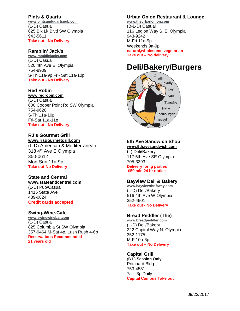#### **Pints & Quarts**

**[www.pintsandquartspub.com](http://www.pintsandquartspub.com/)** (L-D) Casual 625 Blk Lk Blvd SW Olympia 943-5611 **Take out - No Delivery**

#### **Ramblin' Jack's**

**[www.ramblinjacks.com](http://www.ramblinjacks.com/)** (L-D) Casual 520 4th Ave E. Olympia 754-8909 S-Th 11a-9p Fri- Sat 11a-10p **Take out - No Delivery**

## **Red Robin**

**[www.redrobin.com](http://www.redrobin.com/)** (L-D) Casual 600 Cooper Point Rd SW Olympia 754-9620 S-Th 11a-10p Fri-Sat 11a-11p **Take out - No Delivery**

# **RJ's Gourmet Grill**

**[www.rjsgourmetgrill.com](http://www.rjsgourmetgrill.com/)** (L-D) American & Mediterranean 318 4th Ave E Olympia 350-0612 Mon-Sun 11a-9p **Take out-No Delivery**

#### **State and Central**

**www.stateandcentral.com** (L-D) Pub/Casual 1415 State Ave 489-0824 **Credit cards accepted**

#### **Swing-Wine-Cafe**

**[www.swingwinebar.com](http://www.swingwinebar.com/)** (L-D) Casual 825 Columbia St SW Olympia 357-9464 M-Sat 4p, Lush Rush 4-6p **Reservations Recommended 21 years old**

# **Urban Onion Restaurant & Lounge**

**[www.theurbanonion.com](http://www.theurbanonion.com/)** (B-L-D) Casual 116 Legion Way S. E. Olympia 943-9242 M-Fri 11a-9p Weekends 9a-9p **natural,wholesome,vegetarian Take out – No delivery**

# **Deli/Bakery/Burgers**



# **5th Ave Sandwich Shop**

**[www.5thavesandwich.com](http://www.5thavesandwich.com/)** (L) Deli/Bakery 117 5th Ave SE Olympia 705-3393 **Delivery for lg parties \$50 min 24 hr notice**

# **Bayview Deli & Bakery**

**[www.bayviewthriftway.com](http://www.bayviewthriftway.com/)** (L-D) Deli/Bakery 516 4th Ave W Olympia 352-4901 **Take out - No Delivery**

#### **Bread Peddler (The)**

**[www.breadpeddler.com](http://www.breadpeddler.com/)** (L-D) Deli/Bakery 222 Capitol Way N. Olympia 352-1175 M-F 10a-6p **Take out – No Delivery**

#### **Capital Grill**

(B-L) **Session Only** Pritchard Bldg 753-4531 7a – 3p Daily **Capital Campus Take out**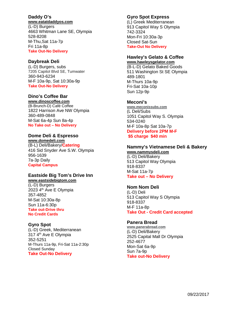# **Daddy O's**

#### **[www.eatatdaddyos.com](http://www.eatatdaddyos.com/)**

(L-D) Burgers 4663 Whitman Lane SE, Olympia 528-8208 M-Thu,Sat 11a-7p Fri 11a-8p **Take Out-No Delivery**

## **Daybreak Deli**

(L-D) Burgers, subs 7205 Capitol Blvd SE, Tumwater 360-943-6234 M-F 10a-9p, Sat 10:30a-9p **Take Out-No Delivery**

# **Dino's Coffee Bar**

**[www.dinoscoffee.com](http://www.dinoscoffee.com/)** (B-Brunch-D) Café Coffee 1822 Harrison Ave NW Olympia 360-489-0848 M-Sat 6a-4p Sun 8a-4p **No Take out – No Delivery**

# **Dome Deli & Espresso**

**[www.domedeli.com](http://www.domedeli.com/)** (B-L) Deli/Bakery/**Catering** 416 Sid Snyder Ave S.W. Olympia 956-1639 7a-3p Daily **Capital Campus**

# **Eastside Big Tom's Drive Inn**

**[www.eastsidebigtom.com](http://www.eastsidebigtom.com/)** (L-D) Burgers 2023 4<sup>th</sup> Ave E Olympia 357-4852 M-Sat 10:30a-8p Sun 11a-6:30p **Take out-Drive thru No Credit Cards**

# **Gyro Spot**

(L-D) Greek, Mediterranean 317 4<sup>th</sup> Ave E Olympia 352-5251 M-Thurs 11a-9p, Fri-Sat 11a-2:30p Closed Sunday **Take Out-No Delivery**

# **Gyro Spot Express**

(L) Greek Mediterranean 913 Capitol Way S Olympia 742-3324 Mon-Fri 10:30a-3p Closed Sat-Sun **Take-Out No Delivery**

#### **Hawley's Gelato & Coffee [www.hawleysgelator.com](http://www.hawleysgelator.com/)**

(B-L-D) Gelato Baked Goods 511 Washington St SE Olympia 489-1801 M-Thurs 10a-9p Fri-Sat 10a-10p Sun 12p-9p

# **Meconi's**

**[www.meconissubs.com](http://www.meconissubs.com/)** (L Deli/Subs 1051 Capitol Way S. Olympia 534-0240 M-F 10a-8p Sat 10a-7p **Delivery before 2PM M-F \$5 charge \$40 min**

# **Nammy's Vietnamese Deli & Bakery**

**[www.nammysdeli.com](http://www.nammysdeli.com/)** (L-D) Deli/Bakery 513 Capitol Way Olympia 918-8337 M-Sat 11a-7p **Take out – No Delivery**

#### **Nom Nom Deli**

(L-D) Deli 513 Capitol Way S Olympia 918-8337 M-F 11a-8p **Take Out - Credit Card accepted**

# **Panera Bread**

**[www.panerabread.com](http://www.panerabread.com/)** (L-D) Deli/Bakery 2525 Capital Mall Dr Olympia 252-4677 Mon-Sat 6a-9p Sun 7a-9p **Take out-No Delivery**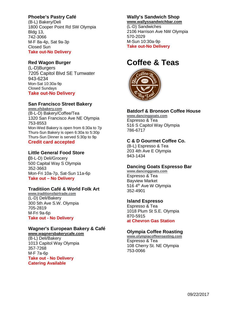# **Phoebe's Pastry Café**

(B-L) Bakery/Deli 1800 Cooper Point Rd SW Olympia Bldg 13, 742-3066 M-F 8a-4p, Sat 9a-3p Closed Sun **Take out-No Delivery**

# **Red Wagon Burger**

(L-D)Burgers 7205 Capitol Blvd SE Tumwater 943-6234 Mon-Sat 10:30a-9p Closed Sundays **Take out-No Delivery**

# **San Francisco Street Bakery**

**[www.sfsbakery.com](http://www.sfsbakery.com/)** (B-L-D) Bakery/Coffee/Tea 1320 San Francisco Ave NE Olympia 753-8553 Mon-Wed Bakery is open from 6:30a to 7p Thurs-Sun Bakery is open 6:30a to 5:30p Thurs-Sun Dinner is served 5:30p to 9p **Credit card accepted**

# **Little General Food Store**

**(**B-L-D) Deli/Grocery 500 Capital Way S Olympia 352-3663 Mon-Fri 10a-7p, Sat-Sun 11a-6p **Take out – No Delivery**

# **Traditiion Café & World Folk Art**

**[www.traditionsfairtrade.com](http://www.traditionsfairtrade.com/)** (L-D) Deli/Bakery 300 5th Ave S.W. Olympia 705-2819 M-Fri 9a-6p **Take out - No Delivery**

# **Wagner's European Bakery & Café**

**[www.wagnersbakerycafe.com](http://www.wagnersbakerycafe.com/)** (B-L) Deli/Bakery 1013 Capitol Way Olympia 357-7268 M-F 7a-6p **Take out - No Delivery Catering Available**

# **Wally's Sandwich Shop**

**[www.wallyssandwichbar.com](http://www.wallyssandwichbar.com/)** (L-D) Sandwiches 2106 Harrison Ave NW Olympia 570-2029 M-Sun 10:30a-9p **Take out-No Delivery**

# **Coffee & Teas**



## **Batdorf & Bronson Coffee House**

**[www.dancinggoats.com](http://www.dancinggoats.com/)** Espresso & Tea 516 S Capitol Way Olympia 786-6717

# **C & D Gourmet Coffee Co.**

(B-L) Espresso & Tea 203 4th Ave E Olympia 943-1434

# **Dancing Goats Espresso Bar**

**[www.dancinggoats.com](http://www.dancinggoats.com/)** Espresso & Tea Bayview Market 516 4<sup>th</sup> Ave W Olympia 352-4901

# **Island Espresso**

Espresso & Tea 1018 Plum St S.E. Olympia 870-5915 **at Chevron Gas Station**

# **Olympia Coffee Roasting**

**[www.olympiacoffeeroasting.com](http://www.olympiacoffeeroasting.com/)** Espresso & Tea 108 Cherry St. NE Olympia 753-0066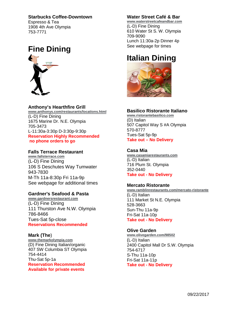# **Starbucks Coffee-Downtown**

Espresso & Tea 1908 4th Ave Olympia 753-7771



# **Anthony's Hearthfire Grill**

**[www.anthonys.com/restaurants/locations.html](http://www.anthonys.com/restaurants/locations.html)** (L-D) Fine Dining 1675 Marine Dr. N.E. Olympia 705-3473 L-11:30a-3:30p D-3:30p-9:30p **Reservation Highly Recommended no phone orders to go**

## **Falls Terrace Restaurant**

**[www.fallsterrace.com](http://www.fallsterrace.com/)** (L-D) Fine Dining 106 S Deschutes Way Tumwater 943-7830 M-Th 11a-8:30p Fri 11a-9p See webpage for additional times

#### **Gardner's Seafood & Pasta**

**[www.gardnersrestaurant.com](http://www.gardnersrestaurant.com/)** (L-D) Fine Dining 111 Thurston Ave N.W. Olympia 786-8466 Tues-Sat 5p-close **Reservations Recommended**

#### **Mark (The**)

**[www.themarkolympia.com](http://www.themarkolympia.com/)** (D) Fine Dining Italian/organic 407 SW Columbia ST Olympia 754-4414 Thu-Sat 5p-1a **Reservation Recommended Available for private events**

# **Water Street Café & Bar**

**[www.waterstreetcafeandbar.com](http://www.waterstreetcafeandbar.com/)** (L-D) Fine Dining 610 Water St S. W. Olympia 709-9090 Lunch 11:30a-2p Dinner 4p See webpage for times

# **Italian Dining**



#### **Basilico Ristorante Italiano**

**[www.ristorantebasilico.com](http://www.ristorantebasilico.com/)** (D) Italian 507 Capitol Way S #A Olympia 570-8777 Tues-Sat 5p-9p **Take out – No Delivery**

#### **Casa Mia**

**[www.casamiarestaurants.com](http://www.casamiarestaurants.com/)** (L-D) Italian 716 Plum St. Olympia 352-0440 **Take out - No Delivery**

#### **Mercato Ristorante**

**[www.ramblinrestaurants.com/mercato-ristorante](http://www.ramblinrestaurants.com/mercato-ristorante)** (L-D) Italian 111 Market St N.E. Olympia 528-3663 Sun-Thu 11a-9p Fri-Sat 11a-10p **Take out - No Delivery**

#### **Olive Garden**

**[www.olivegarden.com/98502](http://www.olivegarden.com/98502)** (L-D) Italian 2400 Capitol Mall Dr S.W. Olympia 754-6717 S-Thu 11a-10p Fri-Sat 11a-11p **Take out - No Delivery**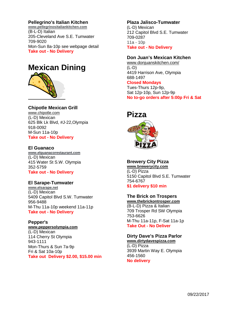# **Pellegrino's Italian Kitchen**

**[www.pellegrinositaliankitchen.com](http://www.pellegrinositaliankitchen.com/)** (B-L-D) Italian 205-Cleveland Ave S.E. Tumwater 709-9020 Mon-Sun 8a-10p see webpage detail **Take out - No Delivery**

# **Mexican Dining**



**Chipotle Mexican Grill** [www.chipotle.com](http://www.chipotle.com/) (L-D) Mexican 625 Blk Lk Blvd, #J-22,Olympia 918-0092 M-Sun 11a-10p **Take out - No Delivery**

## **El Guanaco**

**[www.elguanacorestaurant.com](http://www.elguanacorestaurant.com/)** (L-D) Mexican 415 Water St S.W. Olympia 352-5759 **Take out - No Delivery**

#### **El Sarape-Tumwater**

**[www.elsarape.net](http://www.elsarape.net/)** (L-D) Mexican 5409 Capitol Blvd S.W. Tumwater 956-9488 M-Thu 11a-10p weekend 11a-11p **Take out - No Delivery**

**Pepper's [www.peppersolympia.com](http://www.peppersolympia.com/)** (L-D) Mexican 114 Cherry St Olympia 943-1111 Mon-Thurs & Sun 7a-9p Fri & Sat 10a-10p **Take out Delivery \$2.00, \$15.00 min**

#### **Plaza Jalisco-Tumwater**

(L-D) Mexican 212 Capitol Blvd S.E. Tumwater 709-0287 11a - 10p **Take out - No Delivery**

# **Don Juan's Mexican Kitchen**

[www.donjuanskitchen.com/](http://www.donjuanskitchen.com/) (L-D) 4419 Harrison Ave, Olympia 688-1497 **Closed Mondays** Tues-Thurs 12p-9p, Sat 12p-10p, Sun 12p-9p **No to-go orders after 5:00p Fri & Sat**

# **Pizza**



# **Brewery City Pizza**

**[www.brewerycity.com](http://www.brewerycity.com/)** (L-D) Pizza 5150 Capitol Blvd S.E. Tumwater 754-6767 **\$1 delivery \$10 min**

# **The Brick on Trospers**

**[www.thebrickontrosper.com](http://www.thebrickontrosper.com/)** (B-L-D) Pizza & Italian 709 Trosper Rd SW Olympia 753-6626 M-Thu 11a-11p, F-Sat 11a-1p **Take Out - No Deliver**

#### **Dirty Dave's Pizza Parlor [www.dirtydavespizza.com](http://www.dirtydavespizza.com/)**

(L-D) Pizza 3939 Martin Way E. Olympia 456-1560 **No delivery**